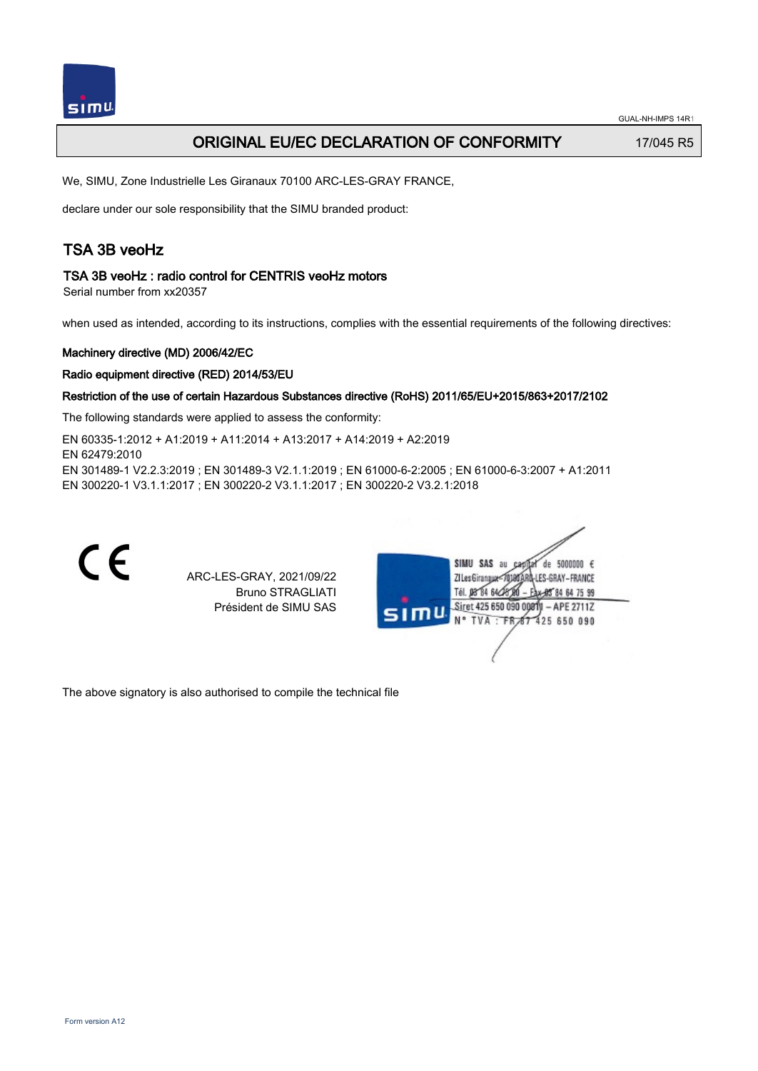## ORIGINAL EU/EC DECLARATION OF CONFORMITY 17/045 R5

We, SIMU, Zone Industrielle Les Giranaux 70100 ARC-LES-GRAY FRANCE,

declare under our sole responsibility that the SIMU branded product:

# TSA 3B veoHz

## TSA 3B veoHz : radio control for CENTRIS veoHz motors

Serial number from xx20357

when used as intended, according to its instructions, complies with the essential requirements of the following directives:

## Machinery directive (MD) 2006/42/EC

#### Radio equipment directive (RED) 2014/53/EU

## Restriction of the use of certain Hazardous Substances directive (RoHS) 2011/65/EU+2015/863+2017/2102

The following standards were applied to assess the conformity:

EN 60335‑1:2012 + A1:2019 + A11:2014 + A13:2017 + A14:2019 + A2:2019 EN 62479:2010 EN 301489‑1 V2.2.3:2019 ; EN 301489‑3 V2.1.1:2019 ; EN 61000‑6‑2:2005 ; EN 61000‑6‑3:2007 + A1:2011 EN 300220‑1 V3.1.1:2017 ; EN 300220‑2 V3.1.1:2017 ; EN 300220‑2 V3.2.1:2018



The above signatory is also authorised to compile the technical file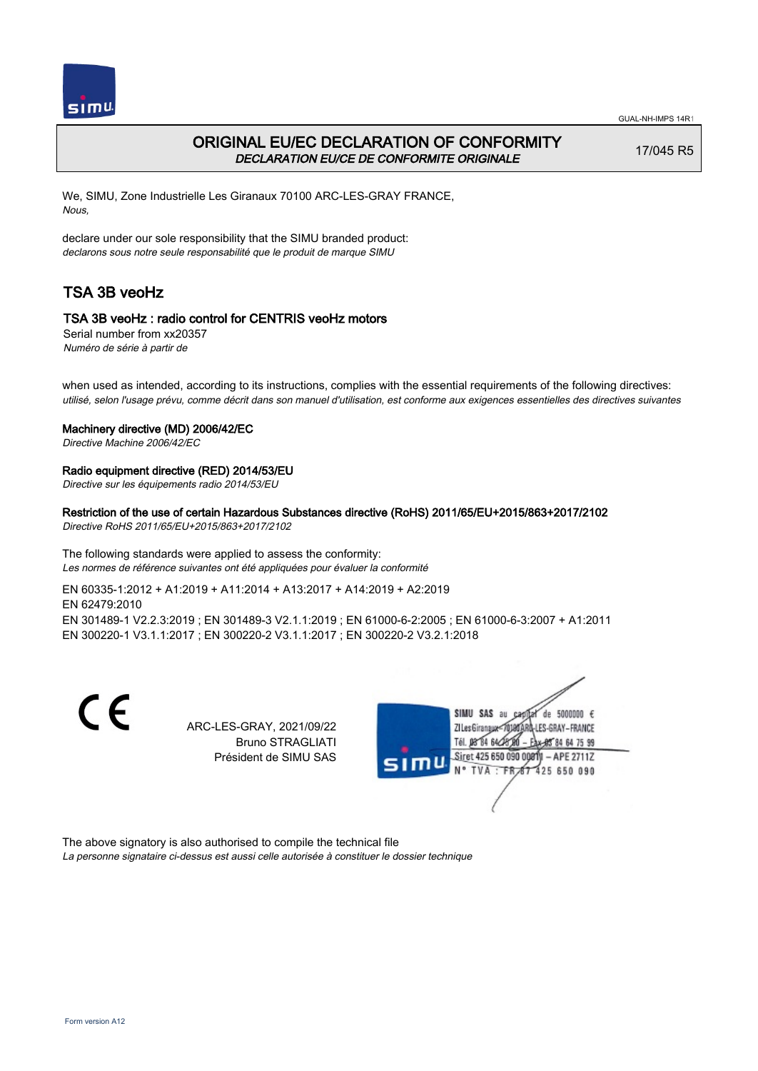

## ORIGINAL EU/EC DECLARATION OF CONFORMITY DECLARATION EU/CE DE CONFORMITE ORIGINALE

17/045 R5

We, SIMU, Zone Industrielle Les Giranaux 70100 ARC-LES-GRAY FRANCE, Nous,

declare under our sole responsibility that the SIMU branded product: declarons sous notre seule responsabilité que le produit de marque SIMU

# TSA 3B veoHz

## TSA 3B veoHz : radio control for CENTRIS veoHz motors

Serial number from xx20357 Numéro de série à partir de

when used as intended, according to its instructions, complies with the essential requirements of the following directives: utilisé, selon l'usage prévu, comme décrit dans son manuel d'utilisation, est conforme aux exigences essentielles des directives suivantes

#### Machinery directive (MD) 2006/42/EC

Directive Machine 2006/42/EC

## Radio equipment directive (RED) 2014/53/EU

Directive sur les équipements radio 2014/53/EU

## Restriction of the use of certain Hazardous Substances directive (RoHS) 2011/65/EU+2015/863+2017/2102

Directive RoHS 2011/65/EU+2015/863+2017/2102

The following standards were applied to assess the conformity: Les normes de référence suivantes ont été appliquées pour évaluer la conformité

EN 60335‑1:2012 + A1:2019 + A11:2014 + A13:2017 + A14:2019 + A2:2019 EN 62479:2010 EN 301489‑1 V2.2.3:2019 ; EN 301489‑3 V2.1.1:2019 ; EN 61000‑6‑2:2005 ; EN 61000‑6‑3:2007 + A1:2011 EN 300220‑1 V3.1.1:2017 ; EN 300220‑2 V3.1.1:2017 ; EN 300220‑2 V3.2.1:2018

> ARC-LES-GRAY, 2021/09/22 Bruno STRAGLIATI Président de SIMU SAS



The above signatory is also authorised to compile the technical file La personne signataire ci-dessus est aussi celle autorisée à constituer le dossier technique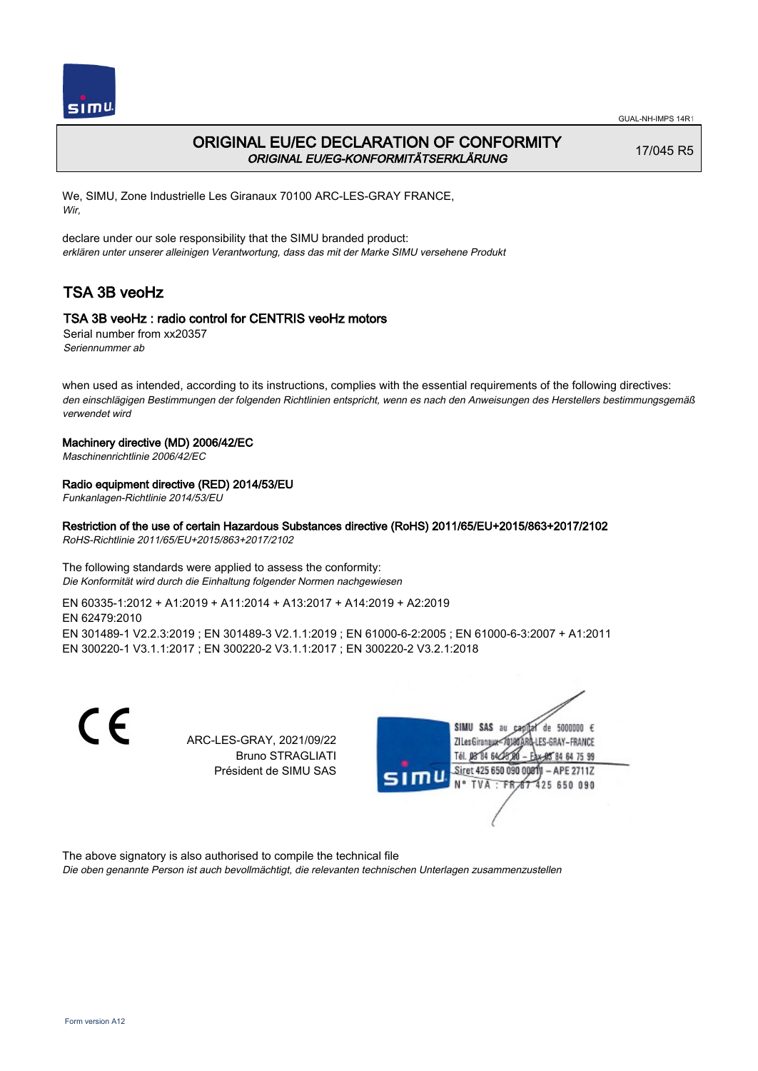

# ORIGINAL EU/EC DECLARATION OF CONFORMITY ORIGINAL EU/EG-KONFORMITÄTSERKLÄRUNG

17/045 R5

We, SIMU, Zone Industrielle Les Giranaux 70100 ARC-LES-GRAY FRANCE, Wir,

declare under our sole responsibility that the SIMU branded product: erklären unter unserer alleinigen Verantwortung, dass das mit der Marke SIMU versehene Produkt

# TSA 3B veoHz

## TSA 3B veoHz : radio control for CENTRIS veoHz motors

Serial number from xx20357 Seriennummer ab

when used as intended, according to its instructions, complies with the essential requirements of the following directives: den einschlägigen Bestimmungen der folgenden Richtlinien entspricht, wenn es nach den Anweisungen des Herstellers bestimmungsgemäß verwendet wird

## Machinery directive (MD) 2006/42/EC

Maschinenrichtlinie 2006/42/EC

## Radio equipment directive (RED) 2014/53/EU

Funkanlagen-Richtlinie 2014/53/EU

# Restriction of the use of certain Hazardous Substances directive (RoHS) 2011/65/EU+2015/863+2017/2102

RoHS-Richtlinie 2011/65/EU+2015/863+2017/2102

#### The following standards were applied to assess the conformity: Die Konformität wird durch die Einhaltung folgender Normen nachgewiesen

EN 60335‑1:2012 + A1:2019 + A11:2014 + A13:2017 + A14:2019 + A2:2019 EN 62479:2010 EN 301489‑1 V2.2.3:2019 ; EN 301489‑3 V2.1.1:2019 ; EN 61000‑6‑2:2005 ; EN 61000‑6‑3:2007 + A1:2011 EN 300220‑1 V3.1.1:2017 ; EN 300220‑2 V3.1.1:2017 ; EN 300220‑2 V3.2.1:2018

CE

ARC-LES-GRAY, 2021/09/22 Bruno STRAGLIATI Président de SIMU SAS



The above signatory is also authorised to compile the technical file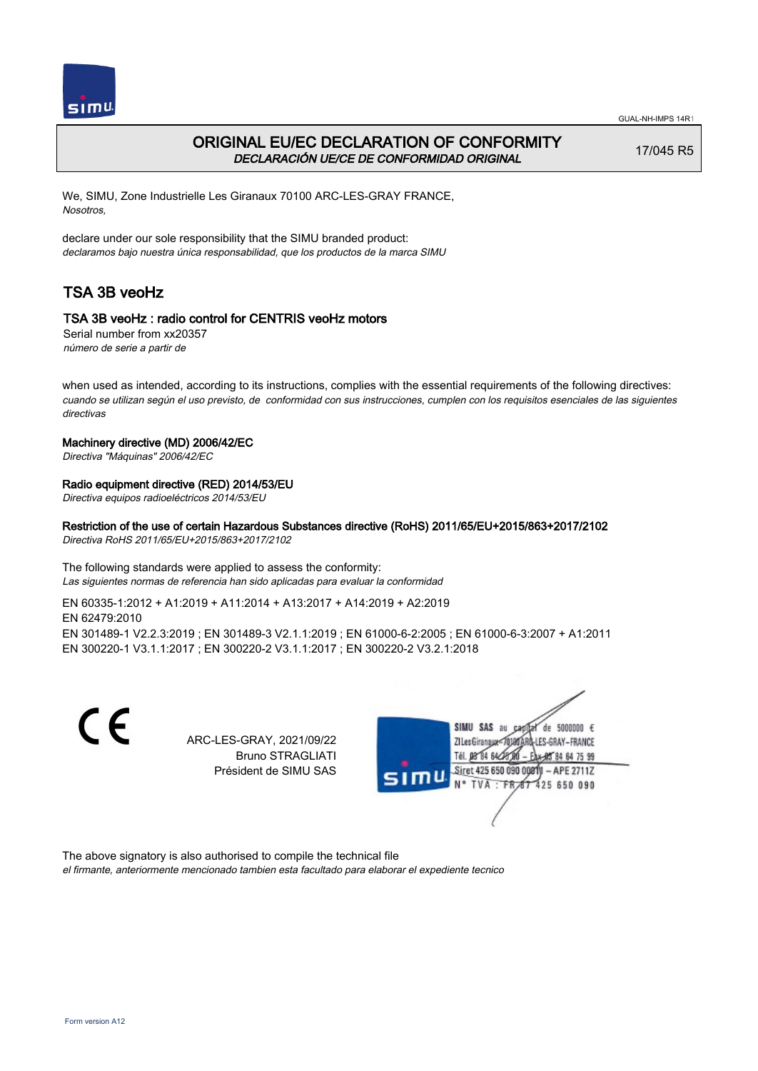



## ORIGINAL EU/EC DECLARATION OF CONFORMITY DECLARACIÓN UE/CE DE CONFORMIDAD ORIGINAL

17/045 R5

We, SIMU, Zone Industrielle Les Giranaux 70100 ARC-LES-GRAY FRANCE, Nosotros,

declare under our sole responsibility that the SIMU branded product: declaramos bajo nuestra única responsabilidad, que los productos de la marca SIMU

# TSA 3B veoHz

## TSA 3B veoHz : radio control for CENTRIS veoHz motors

Serial number from xx20357 número de serie a partir de

when used as intended, according to its instructions, complies with the essential requirements of the following directives: cuando se utilizan según el uso previsto, de conformidad con sus instrucciones, cumplen con los requisitos esenciales de las siguientes directivas

## Machinery directive (MD) 2006/42/EC

Directiva "Máquinas" 2006/42/EC

## Radio equipment directive (RED) 2014/53/EU

Directiva equipos radioeléctricos 2014/53/EU

Restriction of the use of certain Hazardous Substances directive (RoHS) 2011/65/EU+2015/863+2017/2102

Directiva RoHS 2011/65/EU+2015/863+2017/2102

The following standards were applied to assess the conformity: Las siguientes normas de referencia han sido aplicadas para evaluar la conformidad

EN 60335‑1:2012 + A1:2019 + A11:2014 + A13:2017 + A14:2019 + A2:2019 EN 62479:2010 EN 301489‑1 V2.2.3:2019 ; EN 301489‑3 V2.1.1:2019 ; EN 61000‑6‑2:2005 ; EN 61000‑6‑3:2007 + A1:2011 EN 300220‑1 V3.1.1:2017 ; EN 300220‑2 V3.1.1:2017 ; EN 300220‑2 V3.2.1:2018

CE

ARC-LES-GRAY, 2021/09/22 Bruno STRAGLIATI Président de SIMU SAS



The above signatory is also authorised to compile the technical file el firmante, anteriormente mencionado tambien esta facultado para elaborar el expediente tecnico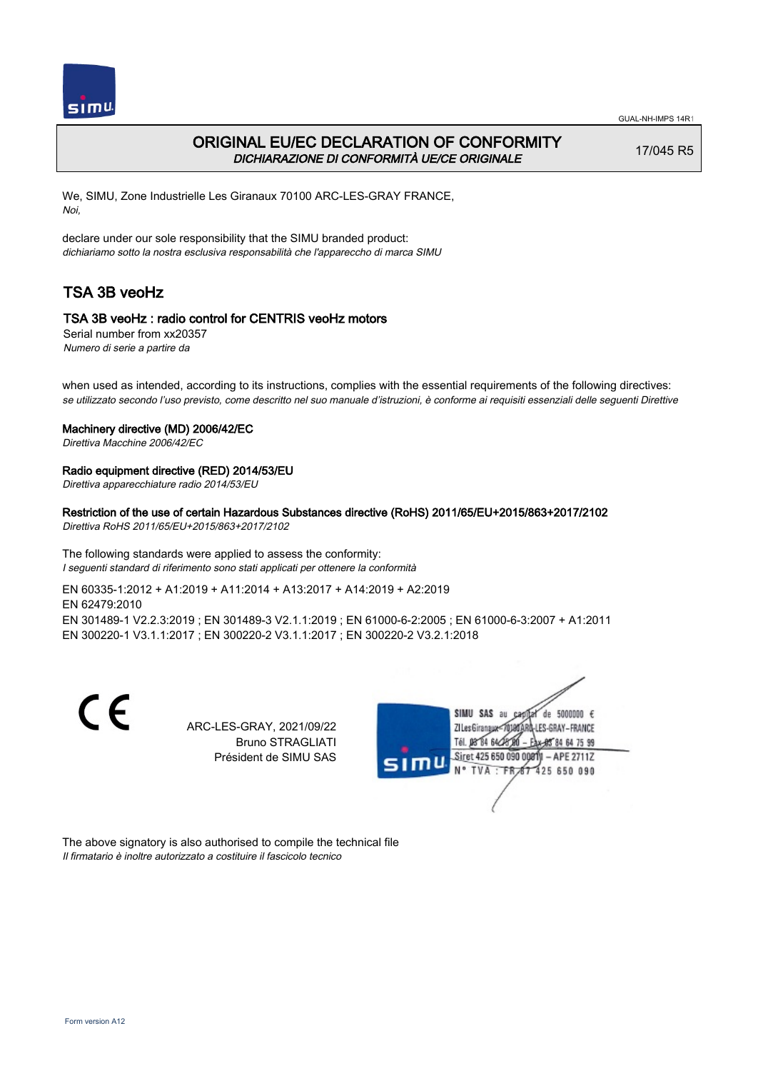

## ORIGINAL EU/EC DECLARATION OF CONFORMITY DICHIARAZIONE DI CONFORMITÀ UE/CE ORIGINALE

17/045 R5

We, SIMU, Zone Industrielle Les Giranaux 70100 ARC-LES-GRAY FRANCE, Noi,

declare under our sole responsibility that the SIMU branded product: dichiariamo sotto la nostra esclusiva responsabilità che l'appareccho di marca SIMU

# TSA 3B veoHz

## TSA 3B veoHz : radio control for CENTRIS veoHz motors

Serial number from xx20357 Numero di serie a partire da

when used as intended, according to its instructions, complies with the essential requirements of the following directives: se utilizzato secondo l'uso previsto, come descritto nel suo manuale d'istruzioni, è conforme ai requisiti essenziali delle seguenti Direttive

#### Machinery directive (MD) 2006/42/EC

Direttiva Macchine 2006/42/EC

## Radio equipment directive (RED) 2014/53/EU

Direttiva apparecchiature radio 2014/53/EU

## Restriction of the use of certain Hazardous Substances directive (RoHS) 2011/65/EU+2015/863+2017/2102

Direttiva RoHS 2011/65/EU+2015/863+2017/2102

The following standards were applied to assess the conformity: I seguenti standard di riferimento sono stati applicati per ottenere la conformità

EN 60335‑1:2012 + A1:2019 + A11:2014 + A13:2017 + A14:2019 + A2:2019 EN 62479:2010 EN 301489‑1 V2.2.3:2019 ; EN 301489‑3 V2.1.1:2019 ; EN 61000‑6‑2:2005 ; EN 61000‑6‑3:2007 + A1:2011 EN 300220‑1 V3.1.1:2017 ; EN 300220‑2 V3.1.1:2017 ; EN 300220‑2 V3.2.1:2018

> ARC-LES-GRAY, 2021/09/22 Bruno STRAGLIATI Président de SIMU SAS



The above signatory is also authorised to compile the technical file Il firmatario è inoltre autorizzato a costituire il fascicolo tecnico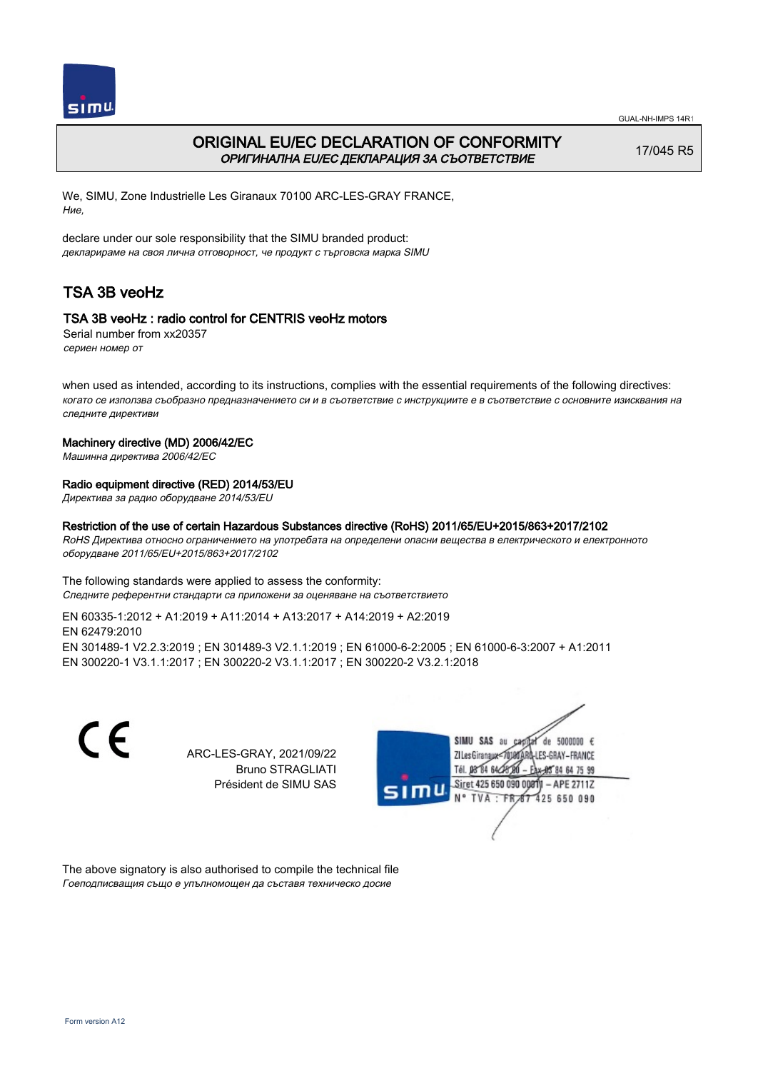

## ORIGINAL EU/EC DECLARATION OF CONFORMITY ОРИГИНАЛНА EU/EC ДЕКЛАРАЦИЯ ЗА СЪОТВЕТСТВИЕ

17/045 R5

We, SIMU, Zone Industrielle Les Giranaux 70100 ARC-LES-GRAY FRANCE, Ние,

declare under our sole responsibility that the SIMU branded product: декларираме на своя лична отговорност, че продукт с търговска марка SIMU

# TSA 3B veoHz

## TSA 3B veoHz : radio control for CENTRIS veoHz motors

Serial number from xx20357 сериен номер от

when used as intended, according to its instructions, complies with the essential requirements of the following directives: когато се използва съобразно предназначението си и в съответствие с инструкциите е в съответствие с основните изисквания на следните директиви

## Machinery directive (MD) 2006/42/EC

Машинна директива 2006/42/EC

## Radio equipment directive (RED) 2014/53/EU

Директива за радио оборудване 2014/53/EU

#### Restriction of the use of certain Hazardous Substances directive (RoHS) 2011/65/EU+2015/863+2017/2102

RoHS Директива относно ограничението на употребата на определени опасни вещества в електрическото и електронното оборудване 2011/65/EU+2015/863+2017/2102

The following standards were applied to assess the conformity: Следните референтни стандарти са приложени за оценяване на съответствието

EN 60335‑1:2012 + A1:2019 + A11:2014 + A13:2017 + A14:2019 + A2:2019 EN 62479:2010 EN 301489‑1 V2.2.3:2019 ; EN 301489‑3 V2.1.1:2019 ; EN 61000‑6‑2:2005 ; EN 61000‑6‑3:2007 + A1:2011 EN 300220‑1 V3.1.1:2017 ; EN 300220‑2 V3.1.1:2017 ; EN 300220‑2 V3.2.1:2018

> ARC-LES-GRAY, 2021/09/22 Bruno STRAGLIATI Président de SIMU SAS



The above signatory is also authorised to compile the technical file Гоеподписващия също е упълномощен да съставя техническо досие

C E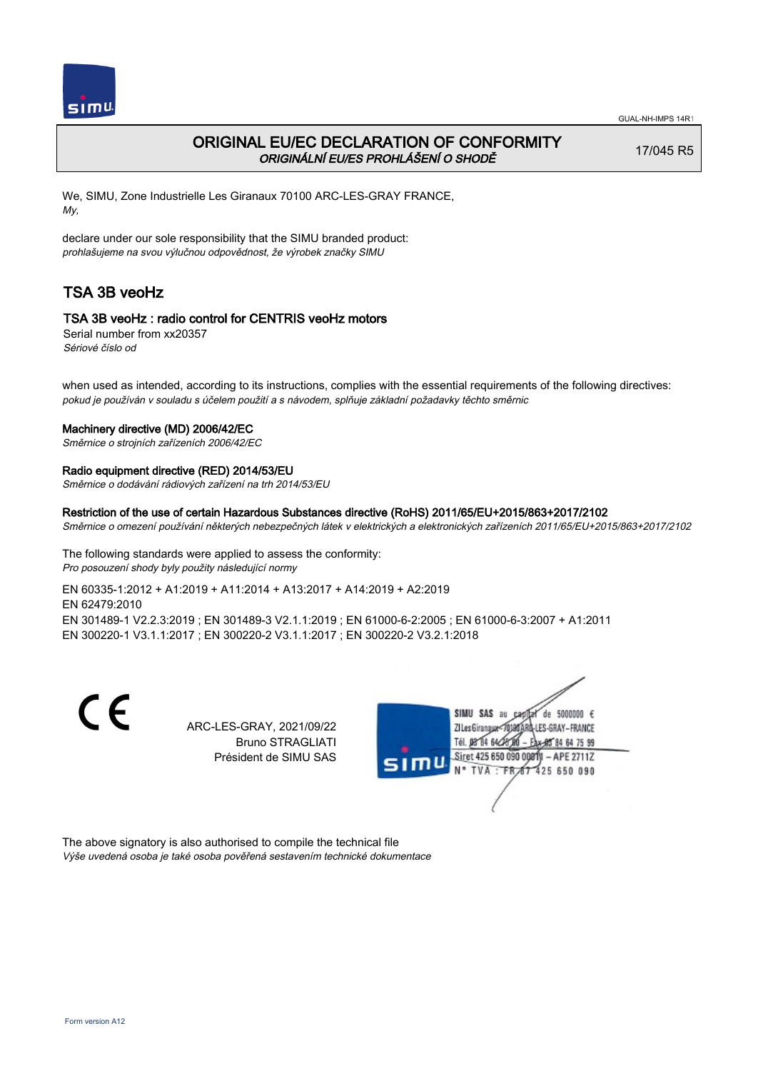

## ORIGINAL EU/EC DECLARATION OF CONFORMITY ORIGINÁLNÍ EU/ES PROHLÁŠENÍ O SHODĚ

17/045 R5

We, SIMU, Zone Industrielle Les Giranaux 70100 ARC-LES-GRAY FRANCE, My,

declare under our sole responsibility that the SIMU branded product: prohlašujeme na svou výlučnou odpovědnost, že výrobek značky SIMU

# TSA 3B veoHz

## TSA 3B veoHz : radio control for CENTRIS veoHz motors

Serial number from xx20357 Sériové číslo od

when used as intended, according to its instructions, complies with the essential requirements of the following directives: pokud je používán v souladu s účelem použití a s návodem, splňuje základní požadavky těchto směrnic

#### Machinery directive (MD) 2006/42/EC

Směrnice o strojních zařízeních 2006/42/EC

#### Radio equipment directive (RED) 2014/53/EU

Směrnice o dodávání rádiových zařízení na trh 2014/53/EU

## Restriction of the use of certain Hazardous Substances directive (RoHS) 2011/65/EU+2015/863+2017/2102

Směrnice o omezení používání některých nebezpečných látek v elektrických a elektronických zařízeních 2011/65/EU+2015/863+2017/2102

The following standards were applied to assess the conformity: Pro posouzení shody byly použity následující normy

EN 60335‑1:2012 + A1:2019 + A11:2014 + A13:2017 + A14:2019 + A2:2019 EN 62479:2010 EN 301489‑1 V2.2.3:2019 ; EN 301489‑3 V2.1.1:2019 ; EN 61000‑6‑2:2005 ; EN 61000‑6‑3:2007 + A1:2011 EN 300220‑1 V3.1.1:2017 ; EN 300220‑2 V3.1.1:2017 ; EN 300220‑2 V3.2.1:2018

> ARC-LES-GRAY, 2021/09/22 Bruno STRAGLIATI Président de SIMU SAS



The above signatory is also authorised to compile the technical file Výše uvedená osoba je také osoba pověřená sestavením technické dokumentace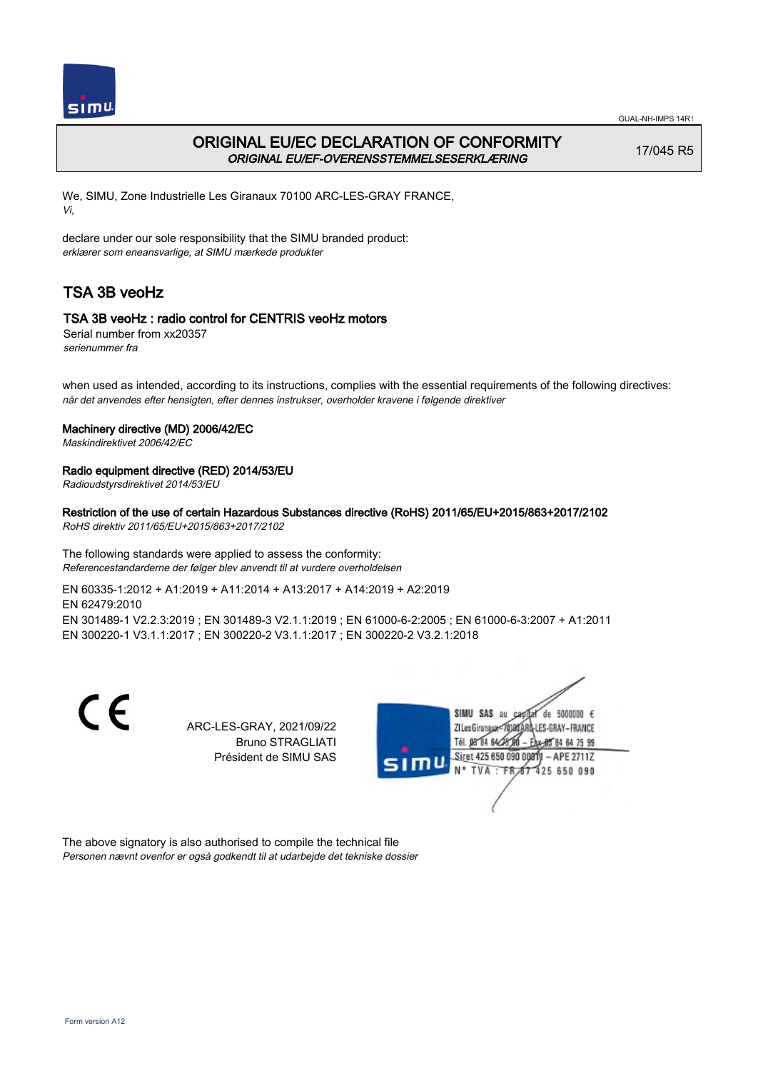

## ORIGINAL EU/EC DECLARATION OF CONFORMITY ORIGINAL EU/EF-OVERENSSTEMMELSESERKLÆRING

17/045 R5

We, SIMU, Zone Industrielle Les Giranaux 70100 ARC-LES-GRAY FRANCE, Vi,

declare under our sole responsibility that the SIMU branded product: erklærer som eneansvarlige, at SIMU mærkede produkter

# TSA 3B veoHz

## TSA 3B veoHz : radio control for CENTRIS veoHz motors

Serial number from xx20357 serienummer fra

when used as intended, according to its instructions, complies with the essential requirements of the following directives: når det anvendes efter hensigten, efter dennes instrukser, overholder kravene i følgende direktiver

## Machinery directive (MD) 2006/42/EC

Maskindirektivet 2006/42/EC

## Radio equipment directive (RED) 2014/53/EU

Radioudstyrsdirektivet 2014/53/EU

## Restriction of the use of certain Hazardous Substances directive (RoHS) 2011/65/EU+2015/863+2017/2102

RoHS direktiv 2011/65/EU+2015/863+2017/2102

The following standards were applied to assess the conformity: Referencestandarderne der følger blev anvendt til at vurdere overholdelsen

EN 60335‑1:2012 + A1:2019 + A11:2014 + A13:2017 + A14:2019 + A2:2019 EN 62479:2010 EN 301489‑1 V2.2.3:2019 ; EN 301489‑3 V2.1.1:2019 ; EN 61000‑6‑2:2005 ; EN 61000‑6‑3:2007 + A1:2011 EN 300220‑1 V3.1.1:2017 ; EN 300220‑2 V3.1.1:2017 ; EN 300220‑2 V3.2.1:2018

> ARC-LES-GRAY, 2021/09/22 Bruno STRAGLIATI Président de SIMU SAS



The above signatory is also authorised to compile the technical file Personen nævnt ovenfor er også godkendt til at udarbejde det tekniske dossier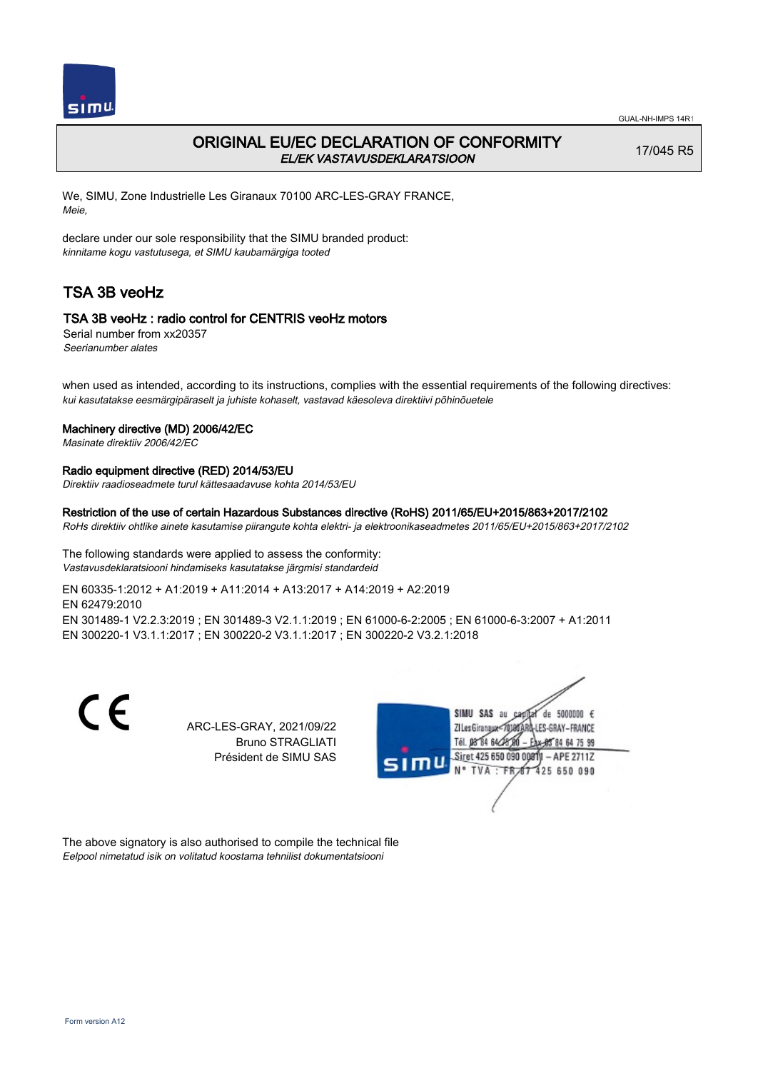

## ORIGINAL EU/EC DECLARATION OF CONFORMITY EL/EK VASTAVUSDEKLARATSIOON

17/045 R5

We, SIMU, Zone Industrielle Les Giranaux 70100 ARC-LES-GRAY FRANCE, Meie,

declare under our sole responsibility that the SIMU branded product: kinnitame kogu vastutusega, et SIMU kaubamärgiga tooted

# TSA 3B veoHz

## TSA 3B veoHz : radio control for CENTRIS veoHz motors

Serial number from xx20357 Seerianumber alates

when used as intended, according to its instructions, complies with the essential requirements of the following directives: kui kasutatakse eesmärgipäraselt ja juhiste kohaselt, vastavad käesoleva direktiivi põhinõuetele

#### Machinery directive (MD) 2006/42/EC

Masinate direktiiv 2006/42/EC

#### Radio equipment directive (RED) 2014/53/EU

Direktiiv raadioseadmete turul kättesaadavuse kohta 2014/53/EU

## Restriction of the use of certain Hazardous Substances directive (RoHS) 2011/65/EU+2015/863+2017/2102

RoHs direktiiv ohtlike ainete kasutamise piirangute kohta elektri- ja elektroonikaseadmetes 2011/65/EU+2015/863+2017/2102

The following standards were applied to assess the conformity: Vastavusdeklaratsiooni hindamiseks kasutatakse järgmisi standardeid

EN 60335‑1:2012 + A1:2019 + A11:2014 + A13:2017 + A14:2019 + A2:2019 EN 62479:2010 EN 301489‑1 V2.2.3:2019 ; EN 301489‑3 V2.1.1:2019 ; EN 61000‑6‑2:2005 ; EN 61000‑6‑3:2007 + A1:2011 EN 300220‑1 V3.1.1:2017 ; EN 300220‑2 V3.1.1:2017 ; EN 300220‑2 V3.2.1:2018

> ARC-LES-GRAY, 2021/09/22 Bruno STRAGLIATI Président de SIMU SAS



The above signatory is also authorised to compile the technical file Eelpool nimetatud isik on volitatud koostama tehnilist dokumentatsiooni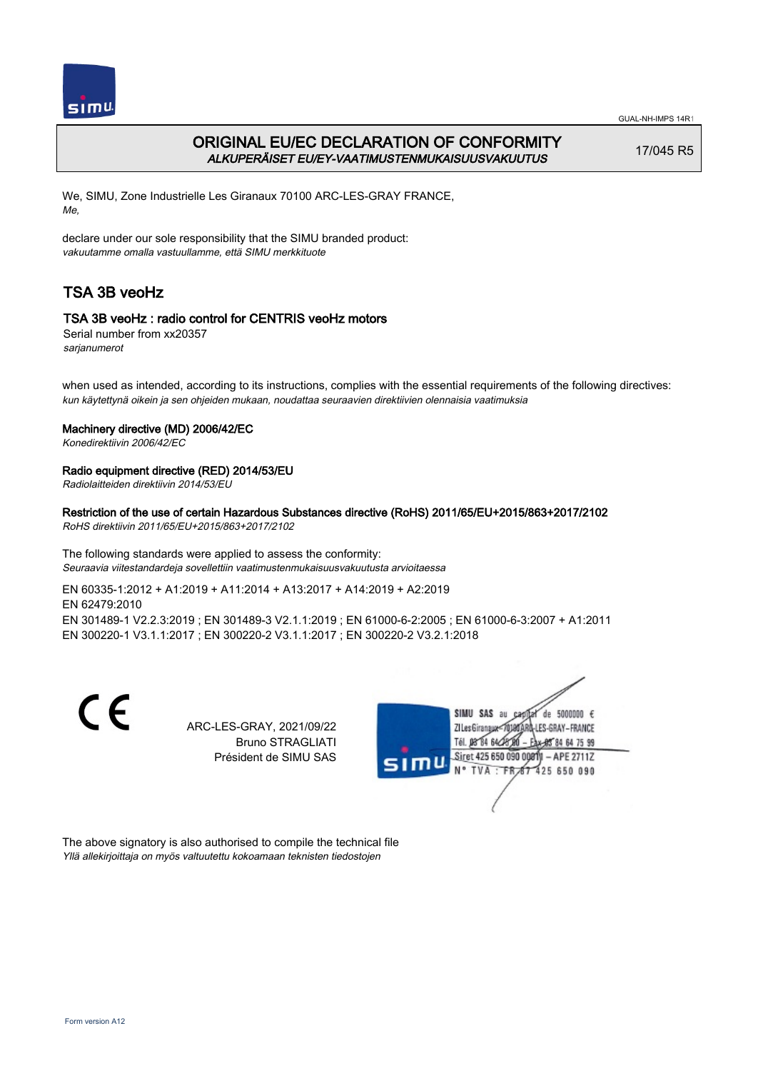

# ORIGINAL EU/EC DECLARATION OF CONFORMITY ALKUPERÄISET EU/EY-VAATIMUSTENMUKAISUUSVAKUUTUS

17/045 R5

We, SIMU, Zone Industrielle Les Giranaux 70100 ARC-LES-GRAY FRANCE, Me,

declare under our sole responsibility that the SIMU branded product: vakuutamme omalla vastuullamme, että SIMU merkkituote

# TSA 3B veoHz

## TSA 3B veoHz : radio control for CENTRIS veoHz motors

Serial number from xx20357 sarjanumerot

when used as intended, according to its instructions, complies with the essential requirements of the following directives: kun käytettynä oikein ja sen ohjeiden mukaan, noudattaa seuraavien direktiivien olennaisia vaatimuksia

## Machinery directive (MD) 2006/42/EC

Konedirektiivin 2006/42/EC

## Radio equipment directive (RED) 2014/53/EU

Radiolaitteiden direktiivin 2014/53/EU

## Restriction of the use of certain Hazardous Substances directive (RoHS) 2011/65/EU+2015/863+2017/2102

RoHS direktiivin 2011/65/EU+2015/863+2017/2102

The following standards were applied to assess the conformity: Seuraavia viitestandardeja sovellettiin vaatimustenmukaisuusvakuutusta arvioitaessa

EN 60335‑1:2012 + A1:2019 + A11:2014 + A13:2017 + A14:2019 + A2:2019 EN 62479:2010 EN 301489‑1 V2.2.3:2019 ; EN 301489‑3 V2.1.1:2019 ; EN 61000‑6‑2:2005 ; EN 61000‑6‑3:2007 + A1:2011 EN 300220‑1 V3.1.1:2017 ; EN 300220‑2 V3.1.1:2017 ; EN 300220‑2 V3.2.1:2018

> ARC-LES-GRAY, 2021/09/22 Bruno STRAGLIATI Président de SIMU SAS



The above signatory is also authorised to compile the technical file Yllä allekirjoittaja on myös valtuutettu kokoamaan teknisten tiedostojen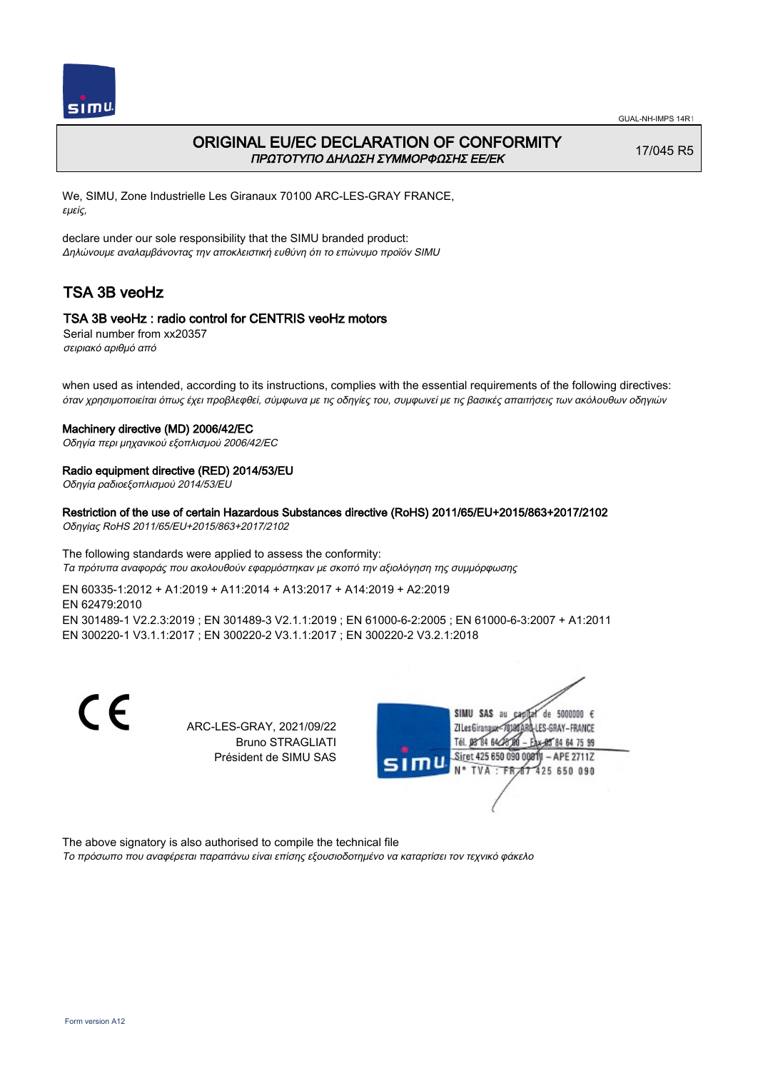

## ORIGINAL EU/EC DECLARATION OF CONFORMITY ΠΡΩΤΟΤΥΠΟ ΔΗΛΩΣΗ ΣΥΜΜΟΡΦΩΣΗΣ ΕΕ/EK

17/045 R5

We, SIMU, Zone Industrielle Les Giranaux 70100 ARC-LES-GRAY FRANCE, εμείς,

declare under our sole responsibility that the SIMU branded product: Δηλώνουμε αναλαμβάνοντας την αποκλειστική ευθύνη ότι το επώνυμο προϊόν SIMU

# TSA 3B veoHz

## TSA 3B veoHz : radio control for CENTRIS veoHz motors

Serial number from xx20357 σειριακό αριθμό από

when used as intended, according to its instructions, complies with the essential requirements of the following directives: όταν χρησιμοποιείται όπως έχει προβλεφθεί, σύμφωνα με τις οδηγίες του, συμφωνεί με τις βασικές απαιτήσεις των ακόλουθων οδηγιών

## Machinery directive (MD) 2006/42/EC

Οδηγία περι μηχανικού εξοπλισμού 2006/42/EC

## Radio equipment directive (RED) 2014/53/EU

Οδηγία ραδιοεξοπλισμού 2014/53/EU

## Restriction of the use of certain Hazardous Substances directive (RoHS) 2011/65/EU+2015/863+2017/2102

Οδηγίας RoHS 2011/65/EU+2015/863+2017/2102

The following standards were applied to assess the conformity: Τα πρότυπα αναφοράς που ακολουθούν εφαρμόστηκαν με σκοπό την αξιολόγηση της συμμόρφωσης

EN 60335‑1:2012 + A1:2019 + A11:2014 + A13:2017 + A14:2019 + A2:2019 EN 62479:2010 EN 301489‑1 V2.2.3:2019 ; EN 301489‑3 V2.1.1:2019 ; EN 61000‑6‑2:2005 ; EN 61000‑6‑3:2007 + A1:2011 EN 300220‑1 V3.1.1:2017 ; EN 300220‑2 V3.1.1:2017 ; EN 300220‑2 V3.2.1:2018

> ARC-LES-GRAY, 2021/09/22 Bruno STRAGLIATI Président de SIMU SAS



The above signatory is also authorised to compile the technical file Το πρόσωπο που αναφέρεται παραπάνω είναι επίσης εξουσιοδοτημένο να καταρτίσει τον τεχνικό φάκελο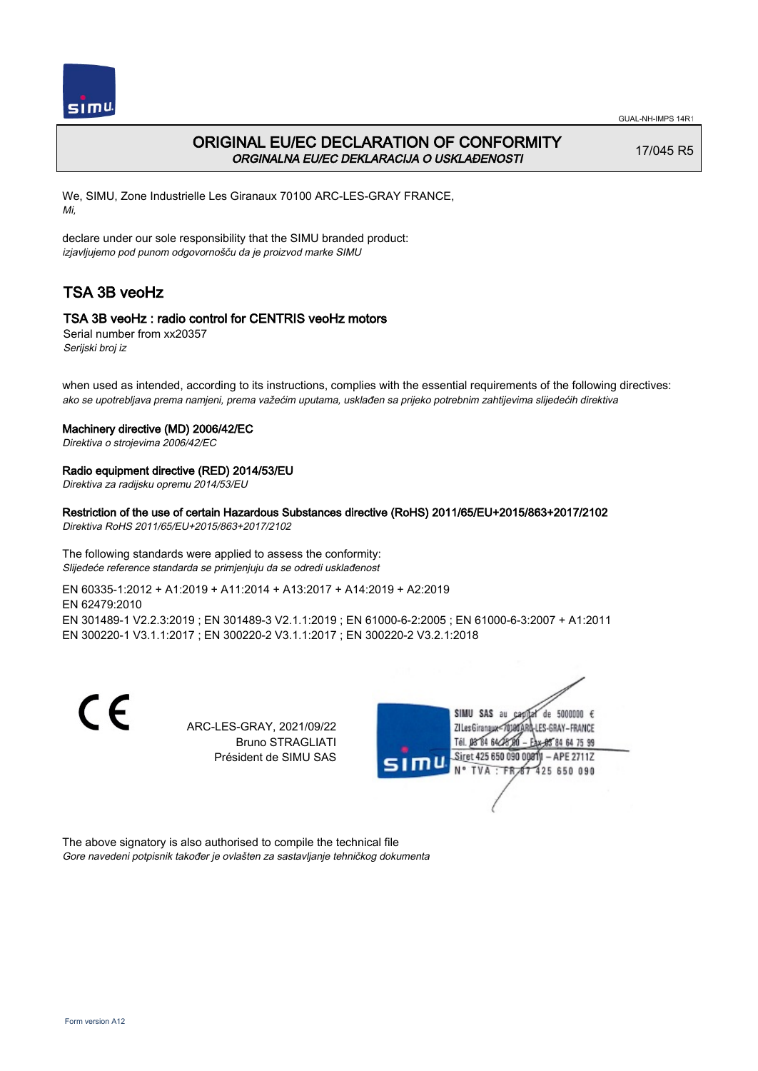

## ORIGINAL EU/EC DECLARATION OF CONFORMITY ORGINALNA EU/EC DEKLARACIJA O USKLAĐENOSTI

17/045 R5

We, SIMU, Zone Industrielle Les Giranaux 70100 ARC-LES-GRAY FRANCE, Mi,

declare under our sole responsibility that the SIMU branded product: izjavljujemo pod punom odgovornošču da je proizvod marke SIMU

# TSA 3B veoHz

## TSA 3B veoHz : radio control for CENTRIS veoHz motors

Serial number from xx20357 Serijski broj iz

when used as intended, according to its instructions, complies with the essential requirements of the following directives: ako se upotrebljava prema namjeni, prema važećim uputama, usklađen sa prijeko potrebnim zahtijevima slijedećih direktiva

#### Machinery directive (MD) 2006/42/EC

Direktiva o strojevima 2006/42/EC

## Radio equipment directive (RED) 2014/53/EU

Direktiva za radijsku opremu 2014/53/EU

## Restriction of the use of certain Hazardous Substances directive (RoHS) 2011/65/EU+2015/863+2017/2102

Direktiva RoHS 2011/65/EU+2015/863+2017/2102

The following standards were applied to assess the conformity: Slijedeće reference standarda se primjenjuju da se odredi usklađenost

EN 60335‑1:2012 + A1:2019 + A11:2014 + A13:2017 + A14:2019 + A2:2019 EN 62479:2010 EN 301489‑1 V2.2.3:2019 ; EN 301489‑3 V2.1.1:2019 ; EN 61000‑6‑2:2005 ; EN 61000‑6‑3:2007 + A1:2011 EN 300220‑1 V3.1.1:2017 ; EN 300220‑2 V3.1.1:2017 ; EN 300220‑2 V3.2.1:2018

> ARC-LES-GRAY, 2021/09/22 Bruno STRAGLIATI Président de SIMU SAS



The above signatory is also authorised to compile the technical file Gore navedeni potpisnik također je ovlašten za sastavljanje tehničkog dokumenta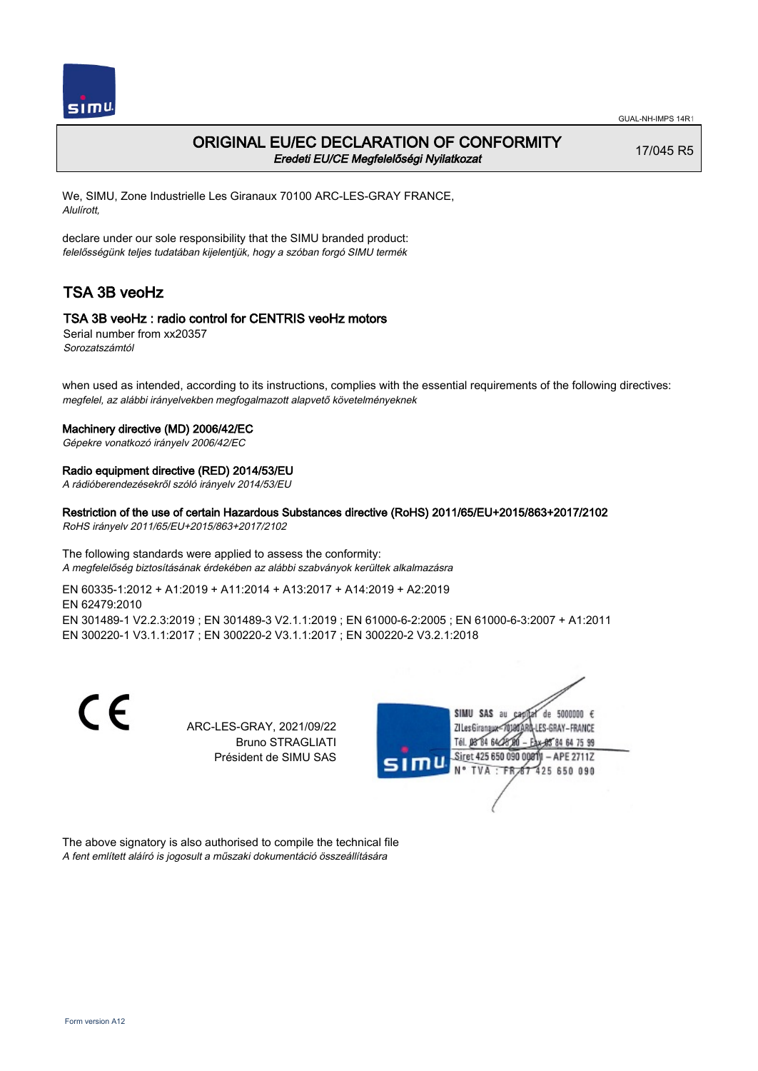

## ORIGINAL EU/EC DECLARATION OF CONFORMITY Eredeti EU/CE Megfelelőségi Nyilatkozat

17/045 R5

We, SIMU, Zone Industrielle Les Giranaux 70100 ARC-LES-GRAY FRANCE, Alulírott,

declare under our sole responsibility that the SIMU branded product: felelősségünk teljes tudatában kijelentjük, hogy a szóban forgó SIMU termék

# TSA 3B veoHz

## TSA 3B veoHz : radio control for CENTRIS veoHz motors

Serial number from xx20357 Sorozatszámtól

when used as intended, according to its instructions, complies with the essential requirements of the following directives: megfelel, az alábbi irányelvekben megfogalmazott alapvető követelményeknek

#### Machinery directive (MD) 2006/42/EC

Gépekre vonatkozó irányelv 2006/42/EC

## Radio equipment directive (RED) 2014/53/EU

A rádióberendezésekről szóló irányelv 2014/53/EU

## Restriction of the use of certain Hazardous Substances directive (RoHS) 2011/65/EU+2015/863+2017/2102

RoHS irányelv 2011/65/EU+2015/863+2017/2102

The following standards were applied to assess the conformity: A megfelelőség biztosításának érdekében az alábbi szabványok kerültek alkalmazásra

EN 60335‑1:2012 + A1:2019 + A11:2014 + A13:2017 + A14:2019 + A2:2019 EN 62479:2010 EN 301489‑1 V2.2.3:2019 ; EN 301489‑3 V2.1.1:2019 ; EN 61000‑6‑2:2005 ; EN 61000‑6‑3:2007 + A1:2011 EN 300220‑1 V3.1.1:2017 ; EN 300220‑2 V3.1.1:2017 ; EN 300220‑2 V3.2.1:2018

> ARC-LES-GRAY, 2021/09/22 Bruno STRAGLIATI Président de SIMU SAS



The above signatory is also authorised to compile the technical file A fent említett aláíró is jogosult a műszaki dokumentáció összeállítására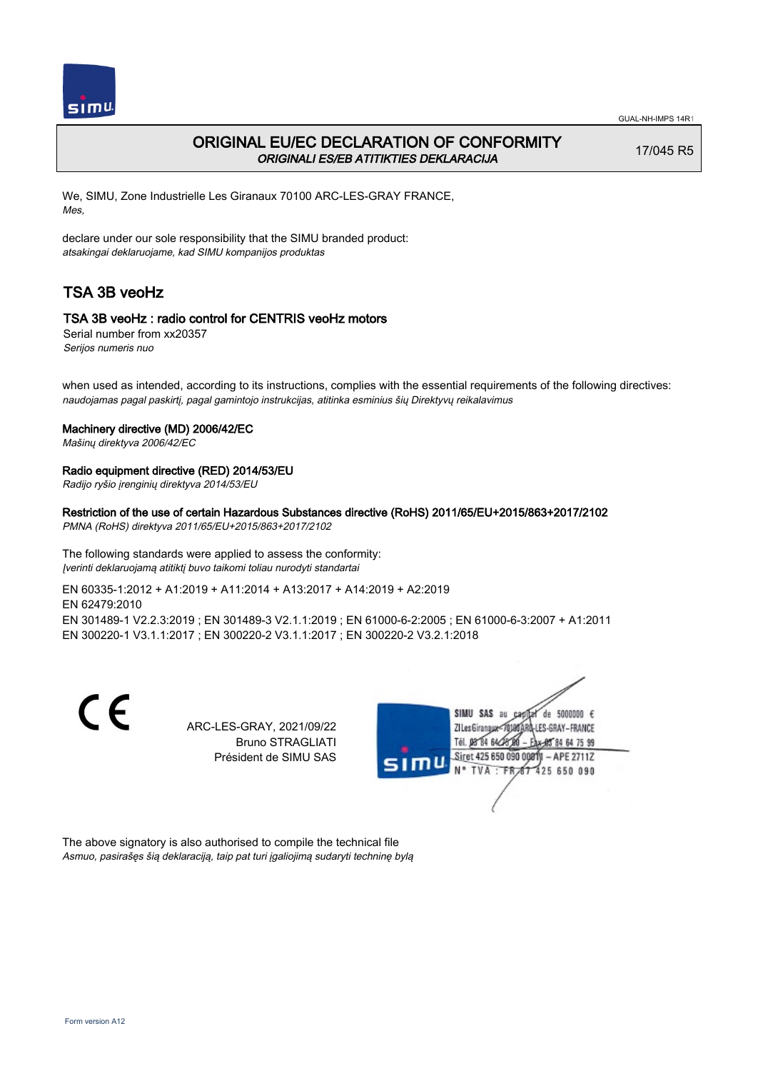

## ORIGINAL EU/EC DECLARATION OF CONFORMITY ORIGINALI ES/EB ATITIKTIES DEKLARACIJA

17/045 R5

We, SIMU, Zone Industrielle Les Giranaux 70100 ARC-LES-GRAY FRANCE, Mes,

declare under our sole responsibility that the SIMU branded product: atsakingai deklaruojame, kad SIMU kompanijos produktas

# TSA 3B veoHz

## TSA 3B veoHz : radio control for CENTRIS veoHz motors

Serial number from xx20357 Serijos numeris nuo

when used as intended, according to its instructions, complies with the essential requirements of the following directives: naudojamas pagal paskirtį, pagal gamintojo instrukcijas, atitinka esminius šių Direktyvų reikalavimus

## Machinery directive (MD) 2006/42/EC

Mašinų direktyva 2006/42/EC

## Radio equipment directive (RED) 2014/53/EU

Radijo ryšio įrenginių direktyva 2014/53/EU

## Restriction of the use of certain Hazardous Substances directive (RoHS) 2011/65/EU+2015/863+2017/2102

PMNA (RoHS) direktyva 2011/65/EU+2015/863+2017/2102

The following standards were applied to assess the conformity: Įverinti deklaruojamą atitiktį buvo taikomi toliau nurodyti standartai

EN 60335‑1:2012 + A1:2019 + A11:2014 + A13:2017 + A14:2019 + A2:2019 EN 62479:2010 EN 301489‑1 V2.2.3:2019 ; EN 301489‑3 V2.1.1:2019 ; EN 61000‑6‑2:2005 ; EN 61000‑6‑3:2007 + A1:2011 EN 300220‑1 V3.1.1:2017 ; EN 300220‑2 V3.1.1:2017 ; EN 300220‑2 V3.2.1:2018

> ARC-LES-GRAY, 2021/09/22 Bruno STRAGLIATI Président de SIMU SAS



The above signatory is also authorised to compile the technical file Asmuo, pasirašęs šią deklaraciją, taip pat turi įgaliojimą sudaryti techninę bylą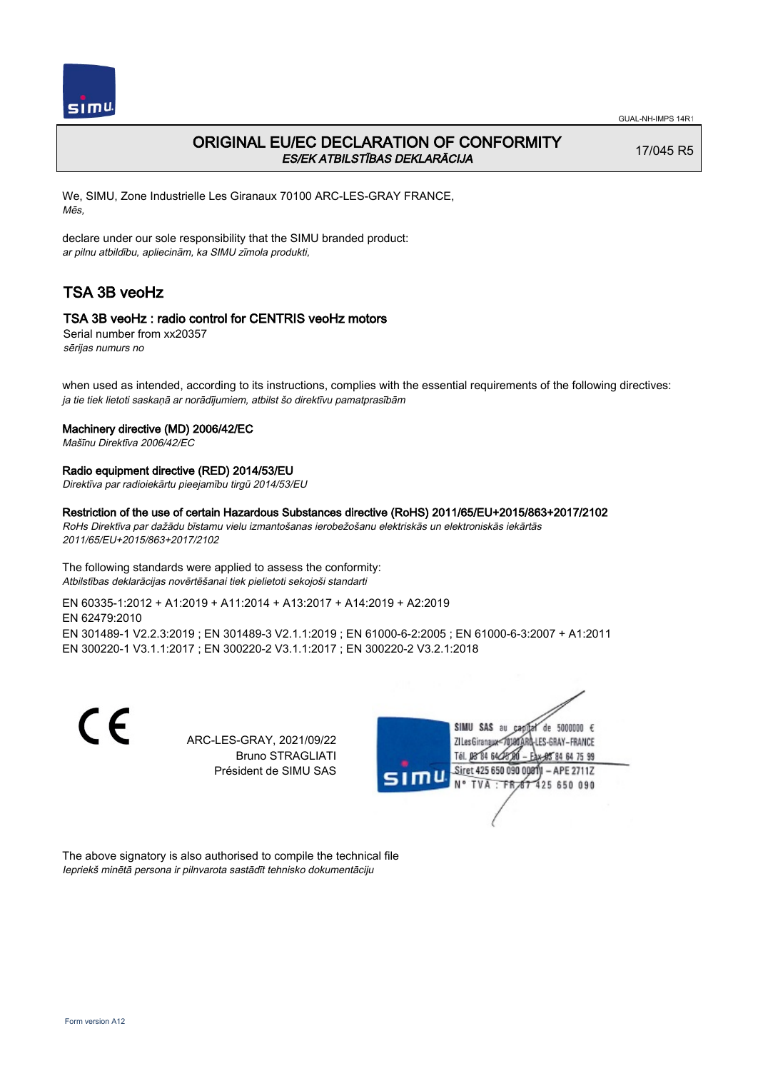

## ORIGINAL EU/EC DECLARATION OF CONFORMITY ES/EK ATBILSTĪBAS DEKLARĀCIJA

17/045 R5

We, SIMU, Zone Industrielle Les Giranaux 70100 ARC-LES-GRAY FRANCE, Mēs,

declare under our sole responsibility that the SIMU branded product: ar pilnu atbildību, apliecinām, ka SIMU zīmola produkti,

# TSA 3B veoHz

## TSA 3B veoHz : radio control for CENTRIS veoHz motors

Serial number from xx20357 sērijas numurs no

when used as intended, according to its instructions, complies with the essential requirements of the following directives: ja tie tiek lietoti saskaņā ar norādījumiem, atbilst šo direktīvu pamatprasībām

#### Machinery directive (MD) 2006/42/EC

Mašīnu Direktīva 2006/42/EC

## Radio equipment directive (RED) 2014/53/EU

Direktīva par radioiekārtu pieejamību tirgū 2014/53/EU

#### Restriction of the use of certain Hazardous Substances directive (RoHS) 2011/65/EU+2015/863+2017/2102

RoHs Direktīva par dažādu bīstamu vielu izmantošanas ierobežošanu elektriskās un elektroniskās iekārtās 2011/65/EU+2015/863+2017/2102

The following standards were applied to assess the conformity: Atbilstības deklarācijas novērtēšanai tiek pielietoti sekojoši standarti

EN 60335‑1:2012 + A1:2019 + A11:2014 + A13:2017 + A14:2019 + A2:2019 EN 62479:2010 EN 301489‑1 V2.2.3:2019 ; EN 301489‑3 V2.1.1:2019 ; EN 61000‑6‑2:2005 ; EN 61000‑6‑3:2007 + A1:2011 EN 300220‑1 V3.1.1:2017 ; EN 300220‑2 V3.1.1:2017 ; EN 300220‑2 V3.2.1:2018

CE

ARC-LES-GRAY, 2021/09/22 Bruno STRAGLIATI Président de SIMU SAS



The above signatory is also authorised to compile the technical file Iepriekš minētā persona ir pilnvarota sastādīt tehnisko dokumentāciju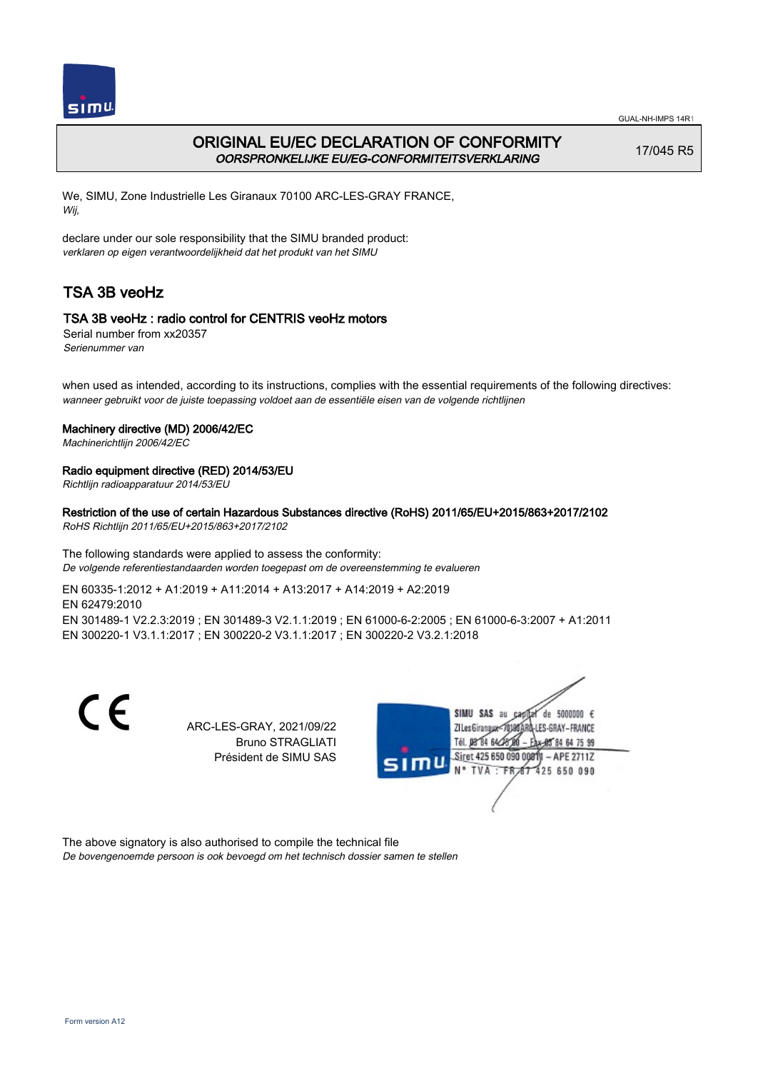

# ORIGINAL EU/EC DECLARATION OF CONFORMITY OORSPRONKELIJKE EU/EG-CONFORMITEITSVERKLARING

17/045 R5

We, SIMU, Zone Industrielle Les Giranaux 70100 ARC-LES-GRAY FRANCE, Wij,

declare under our sole responsibility that the SIMU branded product: verklaren op eigen verantwoordelijkheid dat het produkt van het SIMU

# TSA 3B veoHz

## TSA 3B veoHz : radio control for CENTRIS veoHz motors

Serial number from xx20357 Serienummer van

when used as intended, according to its instructions, complies with the essential requirements of the following directives: wanneer gebruikt voor de juiste toepassing voldoet aan de essentiële eisen van de volgende richtlijnen

## Machinery directive (MD) 2006/42/EC

Machinerichtlijn 2006/42/EC

## Radio equipment directive (RED) 2014/53/EU

Richtlijn radioapparatuur 2014/53/EU

## Restriction of the use of certain Hazardous Substances directive (RoHS) 2011/65/EU+2015/863+2017/2102

RoHS Richtlijn 2011/65/EU+2015/863+2017/2102

The following standards were applied to assess the conformity: De volgende referentiestandaarden worden toegepast om de overeenstemming te evalueren

EN 60335‑1:2012 + A1:2019 + A11:2014 + A13:2017 + A14:2019 + A2:2019 EN 62479:2010 EN 301489‑1 V2.2.3:2019 ; EN 301489‑3 V2.1.1:2019 ; EN 61000‑6‑2:2005 ; EN 61000‑6‑3:2007 + A1:2011 EN 300220‑1 V3.1.1:2017 ; EN 300220‑2 V3.1.1:2017 ; EN 300220‑2 V3.2.1:2018

> ARC-LES-GRAY, 2021/09/22 Bruno STRAGLIATI Président de SIMU SAS



The above signatory is also authorised to compile the technical file De bovengenoemde persoon is ook bevoegd om het technisch dossier samen te stellen

C E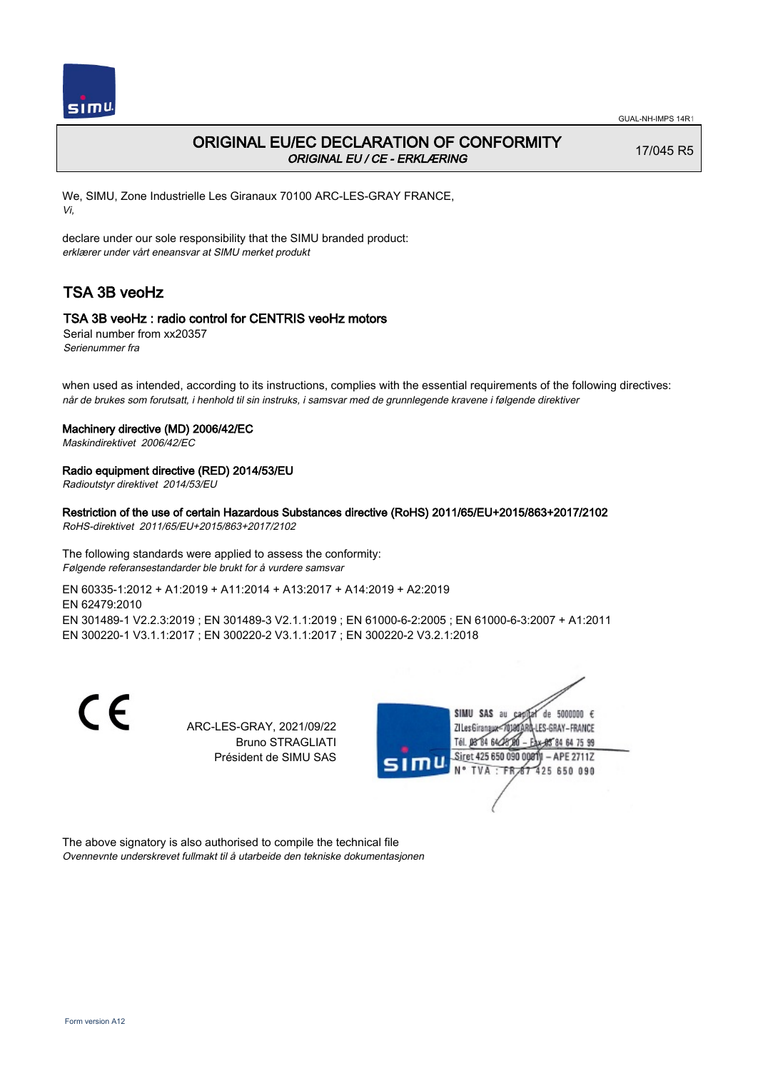

## ORIGINAL EU/EC DECLARATION OF CONFORMITY ORIGINAL EU / CE - ERKLÆRING

17/045 R5

We, SIMU, Zone Industrielle Les Giranaux 70100 ARC-LES-GRAY FRANCE, Vi,

declare under our sole responsibility that the SIMU branded product: erklærer under vårt eneansvar at SIMU merket produkt

# TSA 3B veoHz

## TSA 3B veoHz : radio control for CENTRIS veoHz motors

Serial number from xx20357 Serienummer fra

when used as intended, according to its instructions, complies with the essential requirements of the following directives: når de brukes som forutsatt, i henhold til sin instruks, i samsvar med de grunnlegende kravene i følgende direktiver

## Machinery directive (MD) 2006/42/EC

Maskindirektivet 2006/42/EC

## Radio equipment directive (RED) 2014/53/EU

Radioutstyr direktivet 2014/53/EU

## Restriction of the use of certain Hazardous Substances directive (RoHS) 2011/65/EU+2015/863+2017/2102

RoHS-direktivet 2011/65/EU+2015/863+2017/2102

The following standards were applied to assess the conformity: Følgende referansestandarder ble brukt for å vurdere samsvar

EN 60335‑1:2012 + A1:2019 + A11:2014 + A13:2017 + A14:2019 + A2:2019 EN 62479:2010 EN 301489‑1 V2.2.3:2019 ; EN 301489‑3 V2.1.1:2019 ; EN 61000‑6‑2:2005 ; EN 61000‑6‑3:2007 + A1:2011 EN 300220‑1 V3.1.1:2017 ; EN 300220‑2 V3.1.1:2017 ; EN 300220‑2 V3.2.1:2018

> ARC-LES-GRAY, 2021/09/22 Bruno STRAGLIATI Président de SIMU SAS



The above signatory is also authorised to compile the technical file Ovennevnte underskrevet fullmakt til å utarbeide den tekniske dokumentasjonen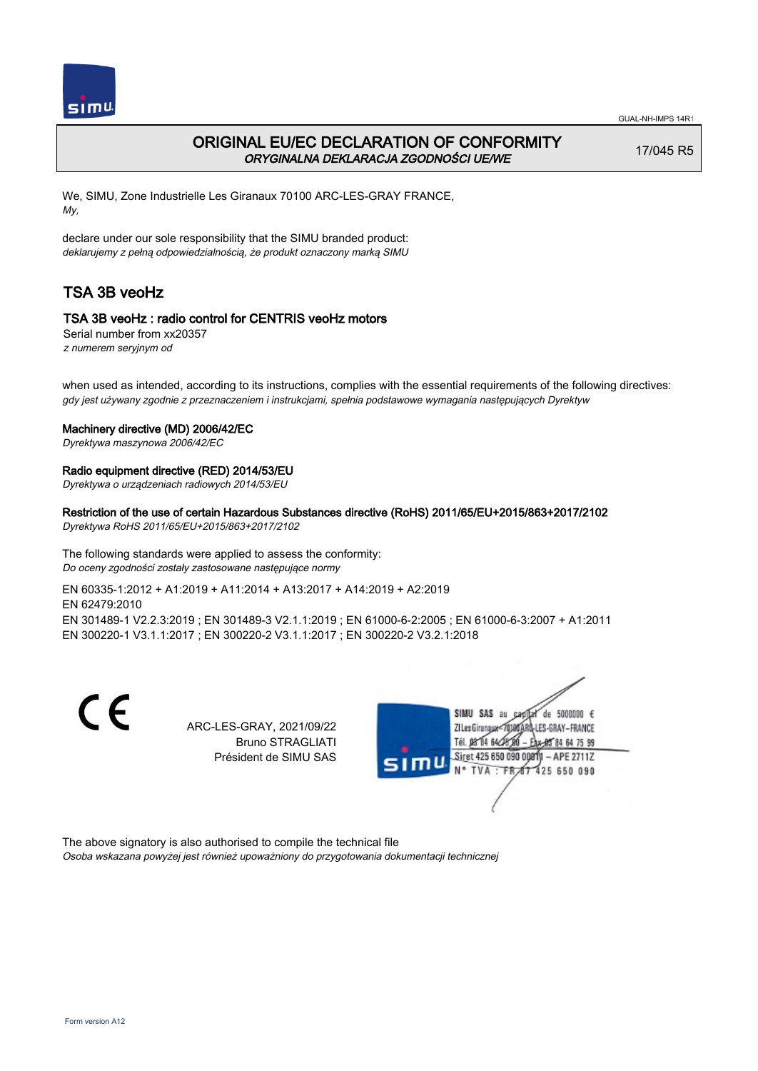

## ORIGINAL EU/EC DECLARATION OF CONFORMITY ORYGINALNA DEKLARACJA ZGODNOŚCI UE/WE

17/045 R5

We, SIMU, Zone Industrielle Les Giranaux 70100 ARC-LES-GRAY FRANCE, My,

declare under our sole responsibility that the SIMU branded product: deklarujemy z pełną odpowiedzialnością, że produkt oznaczony marką SIMU

# TSA 3B veoHz

## TSA 3B veoHz : radio control for CENTRIS veoHz motors

Serial number from xx20357 z numerem seryjnym od

when used as intended, according to its instructions, complies with the essential requirements of the following directives: gdy jest używany zgodnie z przeznaczeniem i instrukcjami, spełnia podstawowe wymagania następujących Dyrektyw

#### Machinery directive (MD) 2006/42/EC

Dyrektywa maszynowa 2006/42/EC

## Radio equipment directive (RED) 2014/53/EU

Dyrektywa o urządzeniach radiowych 2014/53/EU

## Restriction of the use of certain Hazardous Substances directive (RoHS) 2011/65/EU+2015/863+2017/2102

Dyrektywa RoHS 2011/65/EU+2015/863+2017/2102

The following standards were applied to assess the conformity: Do oceny zgodności zostały zastosowane następujące normy

EN 60335‑1:2012 + A1:2019 + A11:2014 + A13:2017 + A14:2019 + A2:2019 EN 62479:2010 EN 301489‑1 V2.2.3:2019 ; EN 301489‑3 V2.1.1:2019 ; EN 61000‑6‑2:2005 ; EN 61000‑6‑3:2007 + A1:2011 EN 300220‑1 V3.1.1:2017 ; EN 300220‑2 V3.1.1:2017 ; EN 300220‑2 V3.2.1:2018

> ARC-LES-GRAY, 2021/09/22 Bruno STRAGLIATI Président de SIMU SAS



The above signatory is also authorised to compile the technical file Osoba wskazana powyżej jest również upoważniony do przygotowania dokumentacji technicznej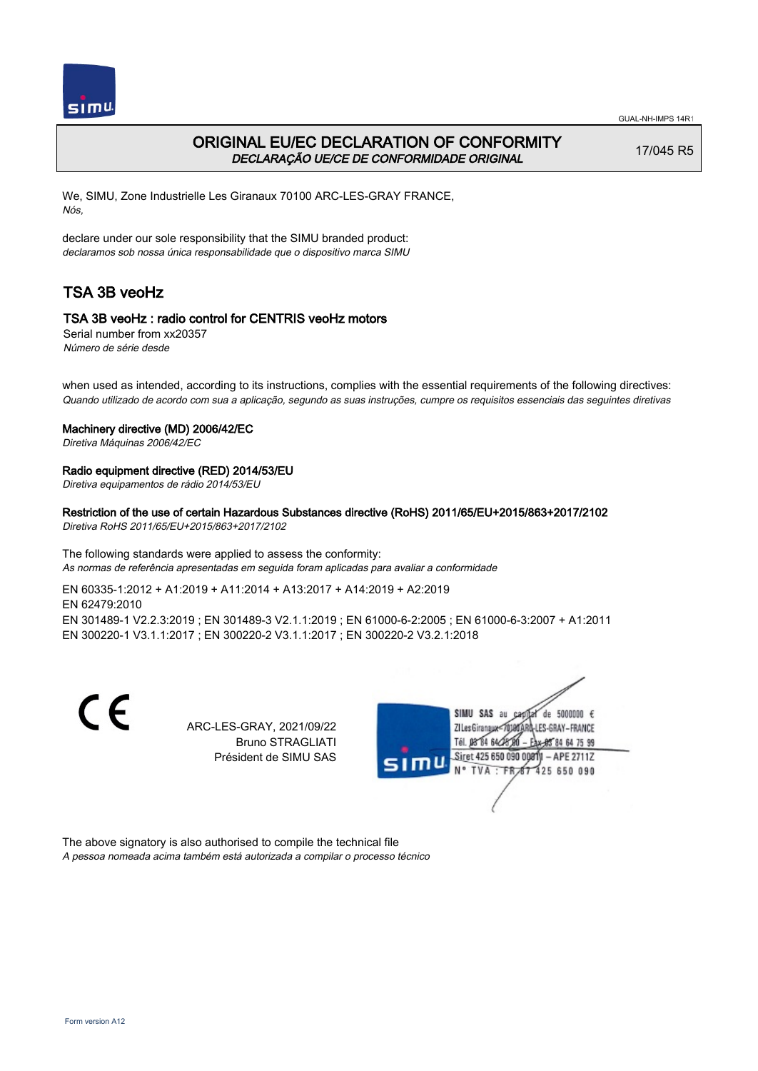

## ORIGINAL EU/EC DECLARATION OF CONFORMITY DECLARAÇÃO UE/CE DE CONFORMIDADE ORIGINAL

17/045 R5

We, SIMU, Zone Industrielle Les Giranaux 70100 ARC-LES-GRAY FRANCE, Nós,

declare under our sole responsibility that the SIMU branded product: declaramos sob nossa única responsabilidade que o dispositivo marca SIMU

# TSA 3B veoHz

## TSA 3B veoHz : radio control for CENTRIS veoHz motors

Serial number from xx20357 Número de série desde

when used as intended, according to its instructions, complies with the essential requirements of the following directives: Quando utilizado de acordo com sua a aplicação, segundo as suas instruções, cumpre os requisitos essenciais das seguintes diretivas

## Machinery directive (MD) 2006/42/EC

Diretiva Máquinas 2006/42/EC

## Radio equipment directive (RED) 2014/53/EU

Diretiva equipamentos de rádio 2014/53/EU

## Restriction of the use of certain Hazardous Substances directive (RoHS) 2011/65/EU+2015/863+2017/2102

Diretiva RoHS 2011/65/EU+2015/863+2017/2102

The following standards were applied to assess the conformity: As normas de referência apresentadas em seguida foram aplicadas para avaliar a conformidade

EN 60335‑1:2012 + A1:2019 + A11:2014 + A13:2017 + A14:2019 + A2:2019 EN 62479:2010 EN 301489‑1 V2.2.3:2019 ; EN 301489‑3 V2.1.1:2019 ; EN 61000‑6‑2:2005 ; EN 61000‑6‑3:2007 + A1:2011 EN 300220‑1 V3.1.1:2017 ; EN 300220‑2 V3.1.1:2017 ; EN 300220‑2 V3.2.1:2018

> ARC-LES-GRAY, 2021/09/22 Bruno STRAGLIATI Président de SIMU SAS



The above signatory is also authorised to compile the technical file A pessoa nomeada acima também está autorizada a compilar o processo técnico

C E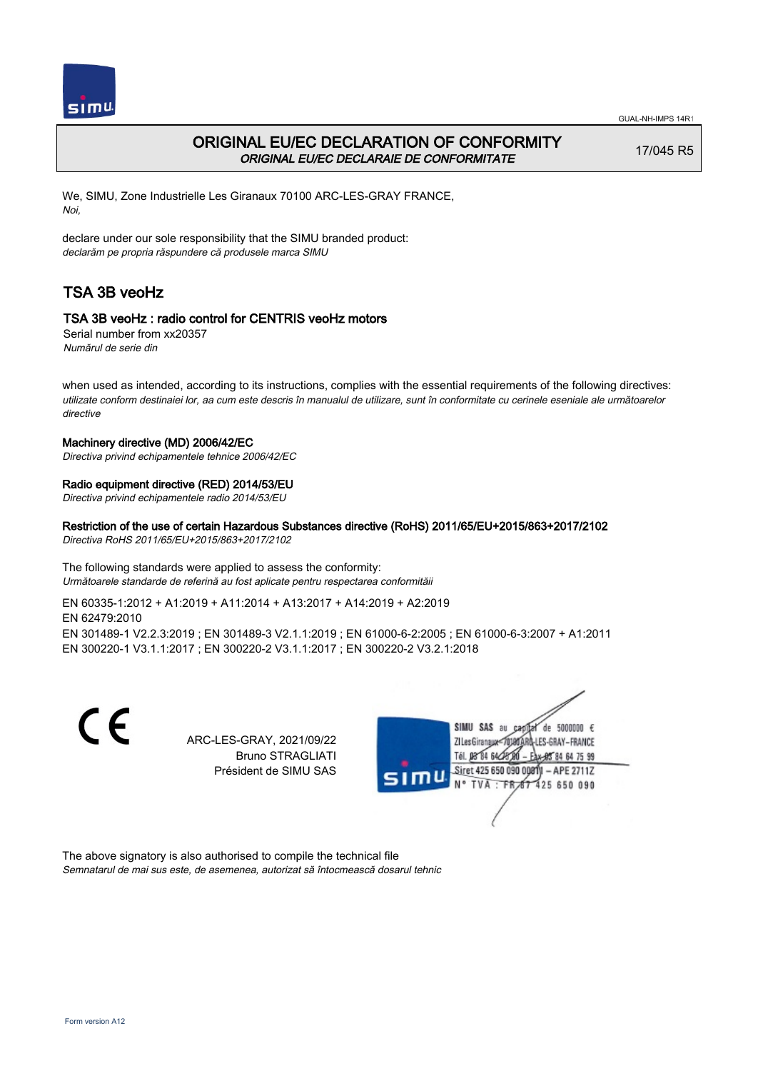

## ORIGINAL EU/EC DECLARATION OF CONFORMITY ORIGINAL EU/EC DECLARAIE DE CONFORMITATE

17/045 R5

We, SIMU, Zone Industrielle Les Giranaux 70100 ARC-LES-GRAY FRANCE, Noi,

declare under our sole responsibility that the SIMU branded product: declarăm pe propria răspundere că produsele marca SIMU

# TSA 3B veoHz

## TSA 3B veoHz : radio control for CENTRIS veoHz motors

Serial number from xx20357 Numărul de serie din

when used as intended, according to its instructions, complies with the essential requirements of the following directives: utilizate conform destinaiei lor, aa cum este descris în manualul de utilizare, sunt în conformitate cu cerinele eseniale ale următoarelor directive

#### Machinery directive (MD) 2006/42/EC

Directiva privind echipamentele tehnice 2006/42/EC

## Radio equipment directive (RED) 2014/53/EU

Directiva privind echipamentele radio 2014/53/EU

## Restriction of the use of certain Hazardous Substances directive (RoHS) 2011/65/EU+2015/863+2017/2102

Directiva RoHS 2011/65/EU+2015/863+2017/2102

#### The following standards were applied to assess the conformity: Următoarele standarde de referină au fost aplicate pentru respectarea conformităii

EN 60335‑1:2012 + A1:2019 + A11:2014 + A13:2017 + A14:2019 + A2:2019 EN 62479:2010 EN 301489‑1 V2.2.3:2019 ; EN 301489‑3 V2.1.1:2019 ; EN 61000‑6‑2:2005 ; EN 61000‑6‑3:2007 + A1:2011 EN 300220‑1 V3.1.1:2017 ; EN 300220‑2 V3.1.1:2017 ; EN 300220‑2 V3.2.1:2018

CE

ARC-LES-GRAY, 2021/09/22 Bruno STRAGLIATI Président de SIMU SAS



The above signatory is also authorised to compile the technical file Semnatarul de mai sus este, de asemenea, autorizat să întocmească dosarul tehnic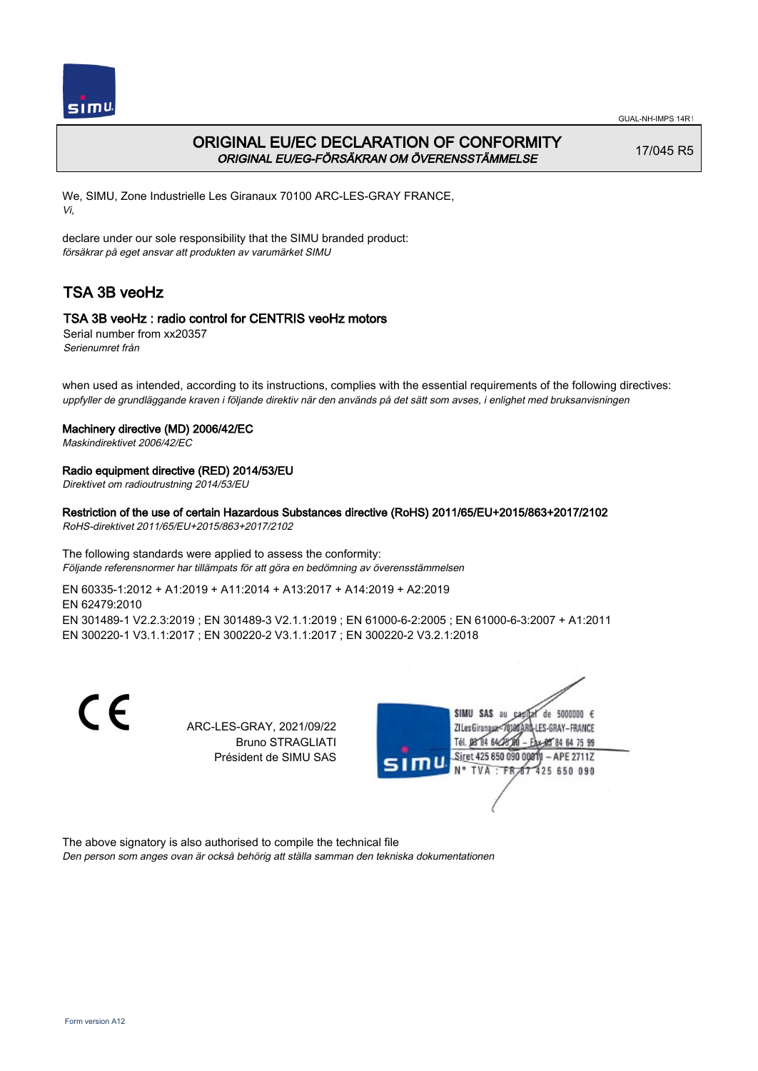

# ORIGINAL EU/EC DECLARATION OF CONFORMITY ORIGINAL EU/EG-FÖRSÄKRAN OM ÖVERENSSTÄMMELSE

17/045 R5

We, SIMU, Zone Industrielle Les Giranaux 70100 ARC-LES-GRAY FRANCE, Vi,

declare under our sole responsibility that the SIMU branded product: försäkrar på eget ansvar att produkten av varumärket SIMU

# TSA 3B veoHz

## TSA 3B veoHz : radio control for CENTRIS veoHz motors

Serial number from xx20357 Serienumret från

when used as intended, according to its instructions, complies with the essential requirements of the following directives: uppfyller de grundläggande kraven i följande direktiv när den används på det sätt som avses, i enlighet med bruksanvisningen

## Machinery directive (MD) 2006/42/EC

Maskindirektivet 2006/42/EC

## Radio equipment directive (RED) 2014/53/EU

Direktivet om radioutrustning 2014/53/EU

## Restriction of the use of certain Hazardous Substances directive (RoHS) 2011/65/EU+2015/863+2017/2102

RoHS-direktivet 2011/65/EU+2015/863+2017/2102

The following standards were applied to assess the conformity: Följande referensnormer har tillämpats för att göra en bedömning av överensstämmelsen

EN 60335‑1:2012 + A1:2019 + A11:2014 + A13:2017 + A14:2019 + A2:2019 EN 62479:2010 EN 301489‑1 V2.2.3:2019 ; EN 301489‑3 V2.1.1:2019 ; EN 61000‑6‑2:2005 ; EN 61000‑6‑3:2007 + A1:2011 EN 300220‑1 V3.1.1:2017 ; EN 300220‑2 V3.1.1:2017 ; EN 300220‑2 V3.2.1:2018

> ARC-LES-GRAY, 2021/09/22 Bruno STRAGLIATI Président de SIMU SAS



The above signatory is also authorised to compile the technical file Den person som anges ovan är också behörig att ställa samman den tekniska dokumentationen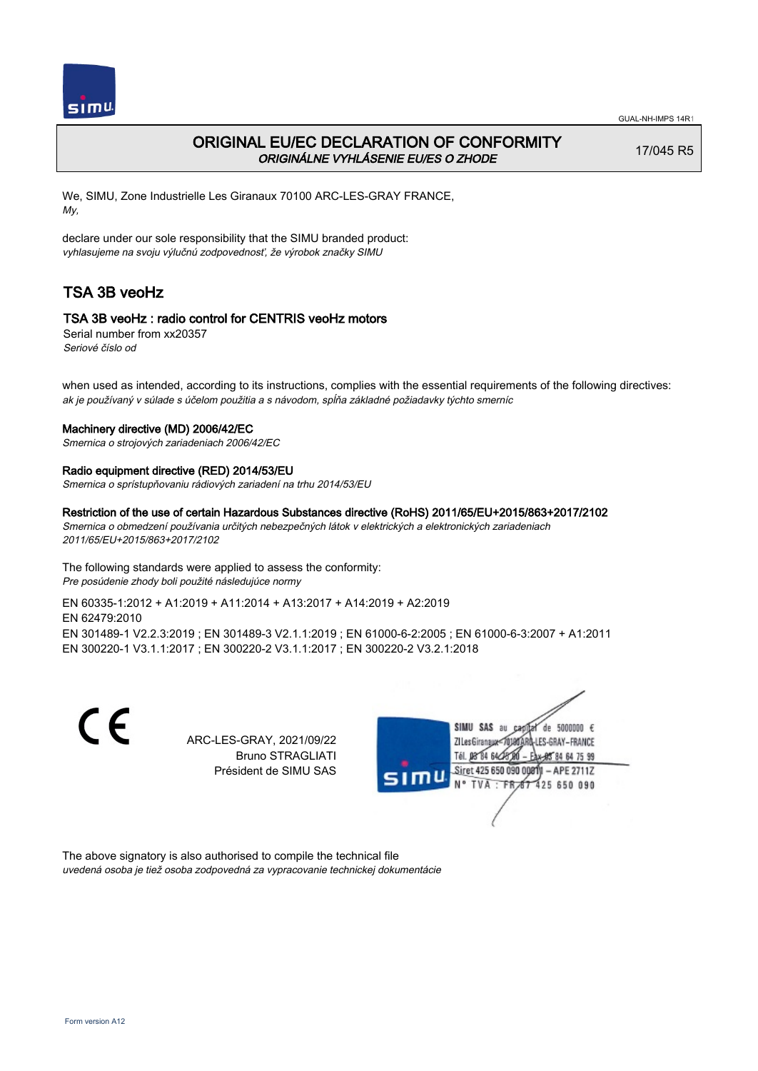

## ORIGINAL EU/EC DECLARATION OF CONFORMITY ORIGINÁLNE VYHLÁSENIE EU/ES O ZHODE

17/045 R5

We, SIMU, Zone Industrielle Les Giranaux 70100 ARC-LES-GRAY FRANCE, My,

declare under our sole responsibility that the SIMU branded product: vyhlasujeme na svoju výlučnú zodpovednosť, že výrobok značky SIMU

# TSA 3B veoHz

## TSA 3B veoHz : radio control for CENTRIS veoHz motors

Serial number from xx20357 Seriové číslo od

when used as intended, according to its instructions, complies with the essential requirements of the following directives: ak je používaný v súlade s účelom použitia a s návodom, spĺňa základné požiadavky týchto smerníc

#### Machinery directive (MD) 2006/42/EC

Smernica o strojových zariadeniach 2006/42/EC

#### Radio equipment directive (RED) 2014/53/EU

Smernica o sprístupňovaniu rádiových zariadení na trhu 2014/53/EU

#### Restriction of the use of certain Hazardous Substances directive (RoHS) 2011/65/EU+2015/863+2017/2102

Smernica o obmedzení používania určitých nebezpečných látok v elektrických a elektronických zariadeniach 2011/65/EU+2015/863+2017/2102

The following standards were applied to assess the conformity: Pre posúdenie zhody boli použité následujúce normy

#### EN 60335‑1:2012 + A1:2019 + A11:2014 + A13:2017 + A14:2019 + A2:2019 EN 62479:2010

EN 301489‑1 V2.2.3:2019 ; EN 301489‑3 V2.1.1:2019 ; EN 61000‑6‑2:2005 ; EN 61000‑6‑3:2007 + A1:2011 EN 300220‑1 V3.1.1:2017 ; EN 300220‑2 V3.1.1:2017 ; EN 300220‑2 V3.2.1:2018

CE

ARC-LES-GRAY, 2021/09/22 Bruno STRAGLIATI Président de SIMU SAS



The above signatory is also authorised to compile the technical file uvedená osoba je tiež osoba zodpovedná za vypracovanie technickej dokumentácie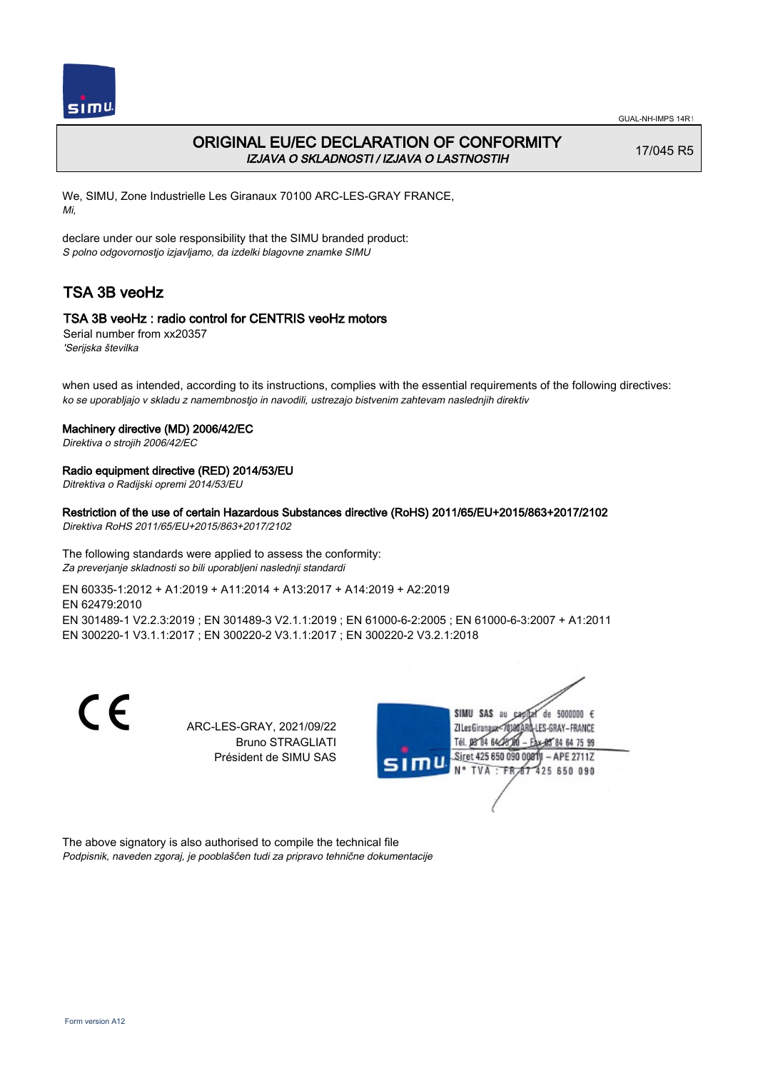

## ORIGINAL EU/EC DECLARATION OF CONFORMITY IZJAVA O SKLADNOSTI / IZJAVA O LASTNOSTIH

17/045 R5

We, SIMU, Zone Industrielle Les Giranaux 70100 ARC-LES-GRAY FRANCE, Mi,

declare under our sole responsibility that the SIMU branded product: S polno odgovornostjo izjavljamo, da izdelki blagovne znamke SIMU

# TSA 3B veoHz

## TSA 3B veoHz : radio control for CENTRIS veoHz motors

Serial number from xx20357 'Serijska številka

when used as intended, according to its instructions, complies with the essential requirements of the following directives: ko se uporabljajo v skladu z namembnostjo in navodili, ustrezajo bistvenim zahtevam naslednjih direktiv

## Machinery directive (MD) 2006/42/EC

Direktiva o strojih 2006/42/EC

## Radio equipment directive (RED) 2014/53/EU

Ditrektiva o Radijski opremi 2014/53/EU

## Restriction of the use of certain Hazardous Substances directive (RoHS) 2011/65/EU+2015/863+2017/2102

Direktiva RoHS 2011/65/EU+2015/863+2017/2102

The following standards were applied to assess the conformity: Za preverjanje skladnosti so bili uporabljeni naslednji standardi

EN 60335‑1:2012 + A1:2019 + A11:2014 + A13:2017 + A14:2019 + A2:2019 EN 62479:2010 EN 301489‑1 V2.2.3:2019 ; EN 301489‑3 V2.1.1:2019 ; EN 61000‑6‑2:2005 ; EN 61000‑6‑3:2007 + A1:2011 EN 300220‑1 V3.1.1:2017 ; EN 300220‑2 V3.1.1:2017 ; EN 300220‑2 V3.2.1:2018

> ARC-LES-GRAY, 2021/09/22 Bruno STRAGLIATI Président de SIMU SAS



The above signatory is also authorised to compile the technical file Podpisnik, naveden zgoraj, je pooblaščen tudi za pripravo tehnične dokumentacije